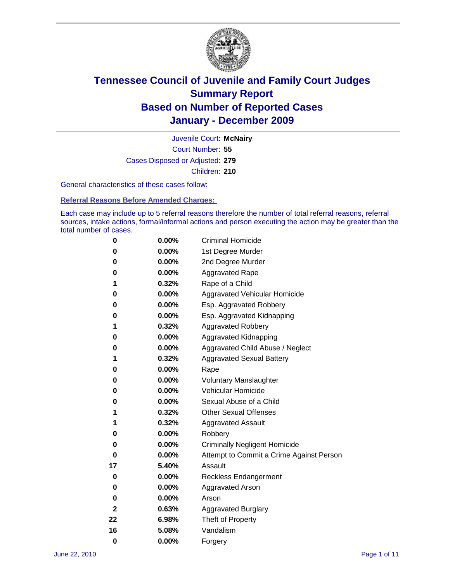

Court Number: **55** Juvenile Court: **McNairy** Cases Disposed or Adjusted: **279** Children: **210**

General characteristics of these cases follow:

**Referral Reasons Before Amended Charges:** 

Each case may include up to 5 referral reasons therefore the number of total referral reasons, referral sources, intake actions, formal/informal actions and person executing the action may be greater than the total number of cases.

| 0  | 0.00% | <b>Criminal Homicide</b>                 |
|----|-------|------------------------------------------|
| 0  | 0.00% | 1st Degree Murder                        |
| 0  | 0.00% | 2nd Degree Murder                        |
| 0  | 0.00% | <b>Aggravated Rape</b>                   |
| 1  | 0.32% | Rape of a Child                          |
| 0  | 0.00% | Aggravated Vehicular Homicide            |
| 0  | 0.00% | Esp. Aggravated Robbery                  |
| 0  | 0.00% | Esp. Aggravated Kidnapping               |
| 1  | 0.32% | <b>Aggravated Robbery</b>                |
| 0  | 0.00% | Aggravated Kidnapping                    |
| 0  | 0.00% | Aggravated Child Abuse / Neglect         |
| 1  | 0.32% | <b>Aggravated Sexual Battery</b>         |
| 0  | 0.00% | Rape                                     |
| 0  | 0.00% | <b>Voluntary Manslaughter</b>            |
| 0  | 0.00% | Vehicular Homicide                       |
| 0  | 0.00% | Sexual Abuse of a Child                  |
| 1  | 0.32% | <b>Other Sexual Offenses</b>             |
| 1  | 0.32% | <b>Aggravated Assault</b>                |
| 0  | 0.00% | Robbery                                  |
| 0  | 0.00% | <b>Criminally Negligent Homicide</b>     |
| 0  | 0.00% | Attempt to Commit a Crime Against Person |
| 17 | 5.40% | Assault                                  |
| 0  | 0.00% | <b>Reckless Endangerment</b>             |
| 0  | 0.00% | <b>Aggravated Arson</b>                  |
| 0  | 0.00% | Arson                                    |
| 2  | 0.63% | <b>Aggravated Burglary</b>               |
| 22 | 6.98% | Theft of Property                        |
| 16 | 5.08% | Vandalism                                |
| 0  | 0.00% | Forgery                                  |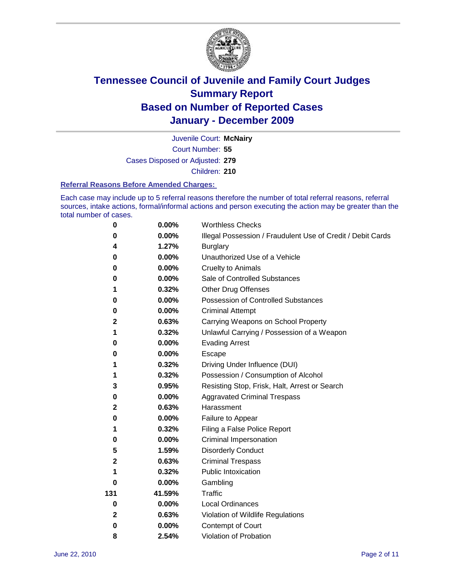

Court Number: **55** Juvenile Court: **McNairy** Cases Disposed or Adjusted: **279** Children: **210**

#### **Referral Reasons Before Amended Charges:**

Each case may include up to 5 referral reasons therefore the number of total referral reasons, referral sources, intake actions, formal/informal actions and person executing the action may be greater than the total number of cases.

| $\pmb{0}$ | 0.00%    | <b>Worthless Checks</b>                                     |
|-----------|----------|-------------------------------------------------------------|
| 0         | 0.00%    | Illegal Possession / Fraudulent Use of Credit / Debit Cards |
| 4         | 1.27%    | <b>Burglary</b>                                             |
| 0         | $0.00\%$ | Unauthorized Use of a Vehicle                               |
| 0         | $0.00\%$ | <b>Cruelty to Animals</b>                                   |
| 0         | 0.00%    | Sale of Controlled Substances                               |
| 1         | 0.32%    | <b>Other Drug Offenses</b>                                  |
| 0         | 0.00%    | Possession of Controlled Substances                         |
| 0         | $0.00\%$ | <b>Criminal Attempt</b>                                     |
| 2         | 0.63%    | Carrying Weapons on School Property                         |
| 1         | 0.32%    | Unlawful Carrying / Possession of a Weapon                  |
| 0         | $0.00\%$ | <b>Evading Arrest</b>                                       |
| 0         | $0.00\%$ | Escape                                                      |
| 1         | 0.32%    | Driving Under Influence (DUI)                               |
| 1         | 0.32%    | Possession / Consumption of Alcohol                         |
| 3         | 0.95%    | Resisting Stop, Frisk, Halt, Arrest or Search               |
| 0         | $0.00\%$ | <b>Aggravated Criminal Trespass</b>                         |
| 2         | 0.63%    | Harassment                                                  |
| 0         | 0.00%    | Failure to Appear                                           |
| 1         | 0.32%    | Filing a False Police Report                                |
| 0         | 0.00%    | Criminal Impersonation                                      |
| 5         | 1.59%    | <b>Disorderly Conduct</b>                                   |
| 2         | 0.63%    | <b>Criminal Trespass</b>                                    |
| 1         | 0.32%    | <b>Public Intoxication</b>                                  |
| 0         | $0.00\%$ | Gambling                                                    |
| 131       | 41.59%   | Traffic                                                     |
| 0         | $0.00\%$ | <b>Local Ordinances</b>                                     |
| 2         | 0.63%    | Violation of Wildlife Regulations                           |
| 0         | $0.00\%$ | Contempt of Court                                           |
| 8         | 2.54%    | Violation of Probation                                      |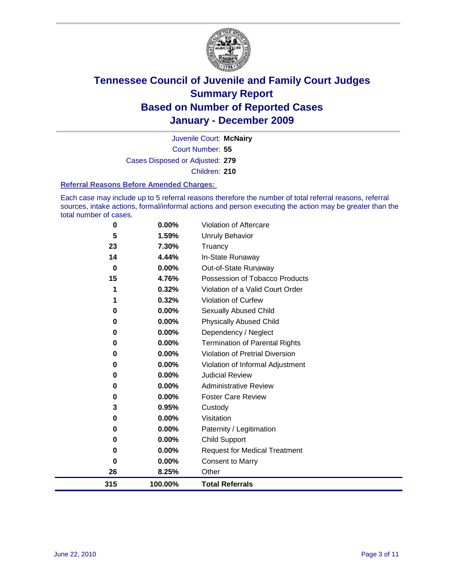

Court Number: **55** Juvenile Court: **McNairy** Cases Disposed or Adjusted: **279** Children: **210**

#### **Referral Reasons Before Amended Charges:**

Each case may include up to 5 referral reasons therefore the number of total referral reasons, referral sources, intake actions, formal/informal actions and person executing the action may be greater than the total number of cases.

| 0        | 0.00%    | Violation of Aftercare                 |
|----------|----------|----------------------------------------|
| 5        | 1.59%    | <b>Unruly Behavior</b>                 |
| 23       | 7.30%    | Truancy                                |
| 14       | 4.44%    | In-State Runaway                       |
| $\bf{0}$ | 0.00%    | Out-of-State Runaway                   |
| 15       | 4.76%    | Possession of Tobacco Products         |
|          | 0.32%    | Violation of a Valid Court Order       |
|          | 0.32%    | Violation of Curfew                    |
| 0        | $0.00\%$ | Sexually Abused Child                  |
| 0        | 0.00%    | <b>Physically Abused Child</b>         |
| 0        | $0.00\%$ | Dependency / Neglect                   |
| 0        | 0.00%    | Termination of Parental Rights         |
| 0        | $0.00\%$ | <b>Violation of Pretrial Diversion</b> |
| 0        | 0.00%    | Violation of Informal Adjustment       |
| 0        | $0.00\%$ | <b>Judicial Review</b>                 |
| 0        | $0.00\%$ | <b>Administrative Review</b>           |
| 0        | $0.00\%$ | <b>Foster Care Review</b>              |
| 3        | 0.95%    | Custody                                |
| 0        | $0.00\%$ | Visitation                             |
| 0        | $0.00\%$ | Paternity / Legitimation               |
| 0        | 0.00%    | <b>Child Support</b>                   |
| 0        | $0.00\%$ | <b>Request for Medical Treatment</b>   |
| 0        | 0.00%    | <b>Consent to Marry</b>                |
| 26       | 8.25%    | Other                                  |
| 315      | 100.00%  | <b>Total Referrals</b>                 |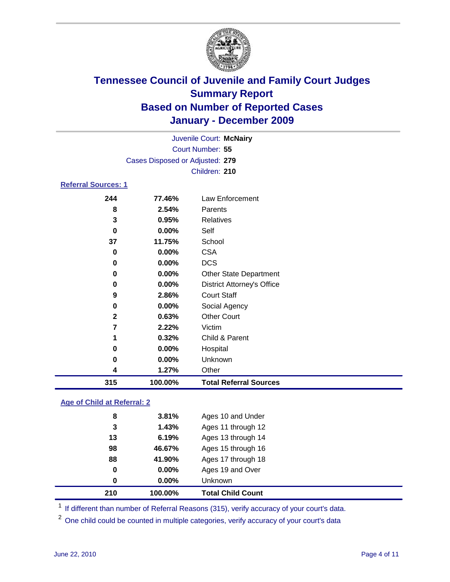

| 315                        | 100.00%                         | <b>Total Referral Sources</b>     |  |  |  |
|----------------------------|---------------------------------|-----------------------------------|--|--|--|
| 4                          | 1.27%                           | Other                             |  |  |  |
| 0                          | 0.00%                           | Unknown                           |  |  |  |
| 0                          | 0.00%                           | Hospital                          |  |  |  |
| 1                          | 0.32%                           | Child & Parent                    |  |  |  |
| 7                          | 2.22%                           | Victim                            |  |  |  |
| $\mathbf{2}$               | 0.63%                           | <b>Other Court</b>                |  |  |  |
| 0                          | 0.00%                           | Social Agency                     |  |  |  |
| 9                          | 2.86%                           | <b>Court Staff</b>                |  |  |  |
| 0                          | 0.00%                           | <b>District Attorney's Office</b> |  |  |  |
| 0                          | $0.00\%$                        | <b>Other State Department</b>     |  |  |  |
| 0                          | $0.00\%$                        | <b>DCS</b>                        |  |  |  |
| 0                          | $0.00\%$                        | <b>CSA</b>                        |  |  |  |
| 37                         | 11.75%                          | School                            |  |  |  |
| $\bf{0}$                   | $0.00\%$                        | Self                              |  |  |  |
| 3                          | 0.95%                           | <b>Relatives</b>                  |  |  |  |
| 8                          | 2.54%                           | Parents                           |  |  |  |
| 244                        | 77.46%                          | Law Enforcement                   |  |  |  |
| <b>Referral Sources: 1</b> |                                 |                                   |  |  |  |
|                            |                                 | Children: 210                     |  |  |  |
|                            | Cases Disposed or Adjusted: 279 |                                   |  |  |  |
|                            | Court Number: 55                |                                   |  |  |  |
|                            |                                 | Juvenile Court: McNairy           |  |  |  |
|                            |                                 |                                   |  |  |  |

### **Age of Child at Referral: 2**

|    | 100.00% | <b>Total Child Count</b> |
|----|---------|--------------------------|
| 0  | 0.00%   | <b>Unknown</b>           |
| 0  | 0.00%   | Ages 19 and Over         |
| 88 | 41.90%  | Ages 17 through 18       |
| 98 | 46.67%  | Ages 15 through 16       |
| 13 | 6.19%   | Ages 13 through 14       |
| 3  | 1.43%   | Ages 11 through 12       |
| 8  | 3.81%   | Ages 10 and Under        |
|    | 210     |                          |

<sup>1</sup> If different than number of Referral Reasons (315), verify accuracy of your court's data.

<sup>2</sup> One child could be counted in multiple categories, verify accuracy of your court's data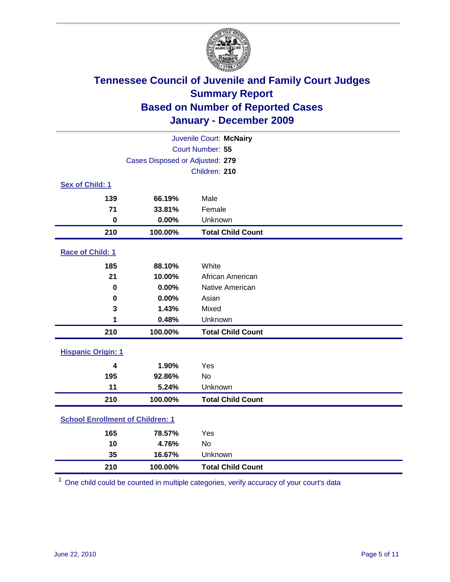

| Juvenile Court: McNairy                 |                                 |                          |  |  |
|-----------------------------------------|---------------------------------|--------------------------|--|--|
| Court Number: 55                        |                                 |                          |  |  |
|                                         | Cases Disposed or Adjusted: 279 |                          |  |  |
|                                         |                                 | Children: 210            |  |  |
| Sex of Child: 1                         |                                 |                          |  |  |
| 139                                     | 66.19%                          | Male                     |  |  |
| 71                                      | 33.81%                          | Female                   |  |  |
| $\bf{0}$                                | 0.00%                           | Unknown                  |  |  |
| 210                                     | 100.00%                         | <b>Total Child Count</b> |  |  |
| Race of Child: 1                        |                                 |                          |  |  |
| 185                                     | 88.10%                          | White                    |  |  |
| 21                                      | 10.00%                          | African American         |  |  |
| 0                                       | 0.00%                           | Native American          |  |  |
| $\mathbf 0$                             | 0.00%                           | Asian                    |  |  |
| 3                                       | 1.43%                           | Mixed                    |  |  |
| 1                                       | 0.48%                           | Unknown                  |  |  |
| 210                                     | 100.00%                         | <b>Total Child Count</b> |  |  |
| <b>Hispanic Origin: 1</b>               |                                 |                          |  |  |
| 4                                       | 1.90%                           | Yes                      |  |  |
| 195                                     | 92.86%                          | <b>No</b>                |  |  |
| 11                                      | 5.24%                           | Unknown                  |  |  |
| 210                                     | 100.00%                         | <b>Total Child Count</b> |  |  |
| <b>School Enrollment of Children: 1</b> |                                 |                          |  |  |
| 165                                     | 78.57%                          | Yes                      |  |  |
| 10                                      | 4.76%                           | No                       |  |  |
| 35                                      | 16.67%                          | Unknown                  |  |  |
| 210                                     | 100.00%                         | <b>Total Child Count</b> |  |  |

One child could be counted in multiple categories, verify accuracy of your court's data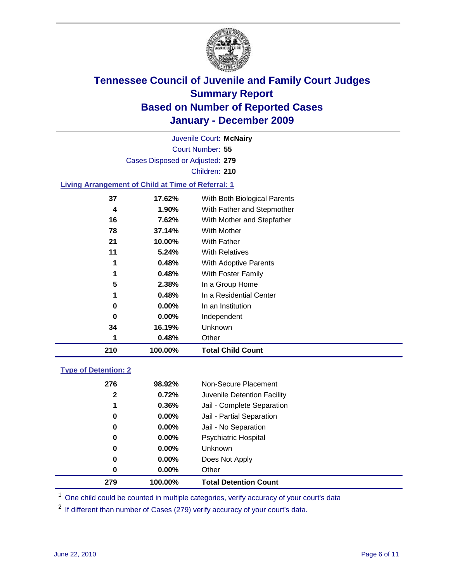

Court Number: **55** Juvenile Court: **McNairy** Cases Disposed or Adjusted: **279** Children: **210**

#### **Living Arrangement of Child at Time of Referral: 1**

| 210 | 100.00%  | <b>Total Child Count</b>     |
|-----|----------|------------------------------|
| 1   | 0.48%    | Other                        |
| 34  | 16.19%   | Unknown                      |
| 0   | $0.00\%$ | Independent                  |
| 0   | $0.00\%$ | In an Institution            |
| 1   | 0.48%    | In a Residential Center      |
| 5   | 2.38%    | In a Group Home              |
| 1   | 0.48%    | With Foster Family           |
| 1   | 0.48%    | With Adoptive Parents        |
| 11  | 5.24%    | <b>With Relatives</b>        |
| 21  | 10.00%   | <b>With Father</b>           |
| 78  | 37.14%   | With Mother                  |
| 16  | 7.62%    | With Mother and Stepfather   |
| 4   | 1.90%    | With Father and Stepmother   |
| 37  | 17.62%   | With Both Biological Parents |
|     |          |                              |

### **Type of Detention: 2**

| 279          | 100.00%  | <b>Total Detention Count</b> |  |
|--------------|----------|------------------------------|--|
| 0            | $0.00\%$ | Other                        |  |
| 0            | $0.00\%$ | Does Not Apply               |  |
| 0            | $0.00\%$ | <b>Unknown</b>               |  |
| 0            | $0.00\%$ | Psychiatric Hospital         |  |
| 0            | 0.00%    | Jail - No Separation         |  |
| 0            | $0.00\%$ | Jail - Partial Separation    |  |
| 1            | 0.36%    | Jail - Complete Separation   |  |
| $\mathbf{2}$ | 0.72%    | Juvenile Detention Facility  |  |
| 276          | 98.92%   | Non-Secure Placement         |  |
|              |          |                              |  |

<sup>1</sup> One child could be counted in multiple categories, verify accuracy of your court's data

<sup>2</sup> If different than number of Cases (279) verify accuracy of your court's data.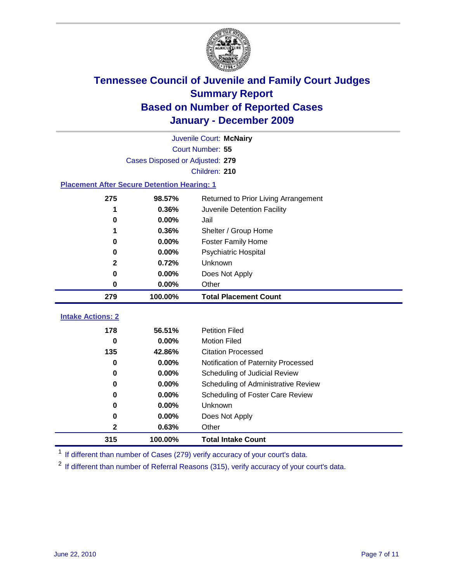

|                                                    | Juvenile Court: McNairy         |                                      |  |  |  |
|----------------------------------------------------|---------------------------------|--------------------------------------|--|--|--|
|                                                    | Court Number: 55                |                                      |  |  |  |
|                                                    | Cases Disposed or Adjusted: 279 |                                      |  |  |  |
|                                                    |                                 | Children: 210                        |  |  |  |
| <b>Placement After Secure Detention Hearing: 1</b> |                                 |                                      |  |  |  |
| 275                                                | 98.57%                          | Returned to Prior Living Arrangement |  |  |  |
| 1                                                  | 0.36%                           | Juvenile Detention Facility          |  |  |  |
| 0                                                  | 0.00%                           | Jail                                 |  |  |  |
| 1                                                  | 0.36%                           | Shelter / Group Home                 |  |  |  |
| 0                                                  | 0.00%                           | Foster Family Home                   |  |  |  |
| 0                                                  | 0.00%                           | Psychiatric Hospital                 |  |  |  |
| $\mathbf{2}$                                       | 0.72%                           | Unknown                              |  |  |  |
| 0                                                  | 0.00%                           | Does Not Apply                       |  |  |  |
| 0                                                  | $0.00\%$                        | Other                                |  |  |  |
| 279                                                | 100.00%                         | <b>Total Placement Count</b>         |  |  |  |
| <b>Intake Actions: 2</b>                           |                                 |                                      |  |  |  |
|                                                    |                                 |                                      |  |  |  |
| 178                                                | 56.51%                          | <b>Petition Filed</b>                |  |  |  |
| $\bf{0}$                                           | 0.00%                           | <b>Motion Filed</b>                  |  |  |  |
| 135                                                | 42.86%                          | <b>Citation Processed</b>            |  |  |  |
| 0                                                  | 0.00%                           | Notification of Paternity Processed  |  |  |  |
| 0                                                  | 0.00%                           | Scheduling of Judicial Review        |  |  |  |
| 0                                                  | 0.00%                           | Scheduling of Administrative Review  |  |  |  |
| 0                                                  | 0.00%                           | Scheduling of Foster Care Review     |  |  |  |
| 0                                                  | 0.00%                           | Unknown                              |  |  |  |
| 0                                                  | 0.00%                           | Does Not Apply                       |  |  |  |
| 2                                                  | 0.63%                           | Other                                |  |  |  |
| 315                                                | 100.00%                         | <b>Total Intake Count</b>            |  |  |  |

<sup>1</sup> If different than number of Cases (279) verify accuracy of your court's data.

<sup>2</sup> If different than number of Referral Reasons (315), verify accuracy of your court's data.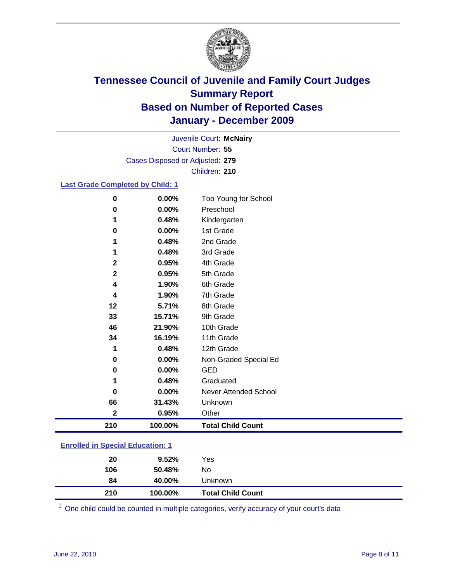

Court Number: **55** Juvenile Court: **McNairy** Cases Disposed or Adjusted: **279** Children: **210**

### **Last Grade Completed by Child: 1**

| 0            | 0.00%    | Too Young for School     |
|--------------|----------|--------------------------|
| 0            | 0.00%    | Preschool                |
| 1            | 0.48%    | Kindergarten             |
| 0            | 0.00%    | 1st Grade                |
| 1            | 0.48%    | 2nd Grade                |
| 1            | 0.48%    | 3rd Grade                |
| $\mathbf{2}$ | 0.95%    | 4th Grade                |
| 2            | 0.95%    | 5th Grade                |
| 4            | 1.90%    | 6th Grade                |
| 4            | 1.90%    | 7th Grade                |
| 12           | 5.71%    | 8th Grade                |
| 33           | 15.71%   | 9th Grade                |
| 46           | 21.90%   | 10th Grade               |
| 34           | 16.19%   | 11th Grade               |
| 1            | 0.48%    | 12th Grade               |
| 0            | $0.00\%$ | Non-Graded Special Ed    |
| 0            | 0.00%    | <b>GED</b>               |
| 1            | 0.48%    | Graduated                |
| O            | 0.00%    | Never Attended School    |
| 66           | 31.43%   | Unknown                  |
| $\mathbf 2$  | 0.95%    | Other                    |
| 210          | 100.00%  | <b>Total Child Count</b> |
| .            |          |                          |

### **Enrolled in Special Education: 1**

| 210 | 100.00%  | <b>Total Child Count</b> |  |
|-----|----------|--------------------------|--|
| 84  | 40.00%   | Unknown                  |  |
| 106 | 50.48%   | No                       |  |
| 20  | $9.52\%$ | Yes                      |  |
|     |          |                          |  |

One child could be counted in multiple categories, verify accuracy of your court's data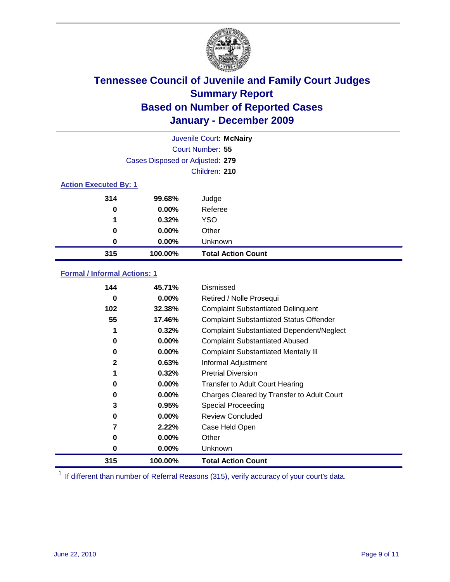

|                              | Juvenile Court: McNairy         |                           |  |  |
|------------------------------|---------------------------------|---------------------------|--|--|
|                              | Court Number: 55                |                           |  |  |
|                              | Cases Disposed or Adjusted: 279 |                           |  |  |
|                              |                                 | Children: 210             |  |  |
| <b>Action Executed By: 1</b> |                                 |                           |  |  |
| 314                          | 99.68%                          | Judge                     |  |  |
| 0                            | 0.00%                           | Referee                   |  |  |
| 1                            | 0.32%                           | <b>YSO</b>                |  |  |
| 0                            | $0.00\%$                        | Other                     |  |  |
| 0                            | 0.00%                           | Unknown                   |  |  |
| 315                          | 100.00%                         | <b>Total Action Count</b> |  |  |

### **Formal / Informal Actions: 1**

| 144          | 45.71%   | Dismissed                                        |
|--------------|----------|--------------------------------------------------|
| 0            | $0.00\%$ | Retired / Nolle Prosequi                         |
| 102          | 32.38%   | <b>Complaint Substantiated Delinquent</b>        |
| 55           | 17.46%   | <b>Complaint Substantiated Status Offender</b>   |
|              | 0.32%    | <b>Complaint Substantiated Dependent/Neglect</b> |
| 0            | 0.00%    | <b>Complaint Substantiated Abused</b>            |
| 0            | $0.00\%$ | <b>Complaint Substantiated Mentally III</b>      |
| $\mathbf{2}$ | 0.63%    | Informal Adjustment                              |
| 1            | 0.32%    | <b>Pretrial Diversion</b>                        |
| 0            | $0.00\%$ | <b>Transfer to Adult Court Hearing</b>           |
| 0            | 0.00%    | Charges Cleared by Transfer to Adult Court       |
| 3            | 0.95%    | Special Proceeding                               |
| 0            | $0.00\%$ | <b>Review Concluded</b>                          |
|              | 2.22%    | Case Held Open                                   |
| 0            | $0.00\%$ | Other                                            |
| 0            | $0.00\%$ | <b>Unknown</b>                                   |
| 315          | 100.00%  | <b>Total Action Count</b>                        |

<sup>1</sup> If different than number of Referral Reasons (315), verify accuracy of your court's data.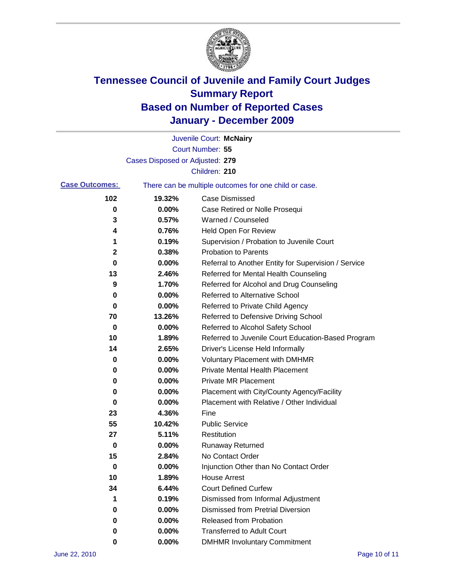

|                       |                                 | Juvenile Court: McNairy                               |
|-----------------------|---------------------------------|-------------------------------------------------------|
|                       |                                 | Court Number: 55                                      |
|                       | Cases Disposed or Adjusted: 279 |                                                       |
|                       |                                 | Children: 210                                         |
| <b>Case Outcomes:</b> |                                 | There can be multiple outcomes for one child or case. |
| 102                   | 19.32%                          | <b>Case Dismissed</b>                                 |
| 0                     | 0.00%                           | Case Retired or Nolle Prosequi                        |
| 3                     | 0.57%                           | Warned / Counseled                                    |
| 4                     | 0.76%                           | Held Open For Review                                  |
| 1                     | 0.19%                           | Supervision / Probation to Juvenile Court             |
| $\mathbf 2$           | 0.38%                           | <b>Probation to Parents</b>                           |
| 0                     | 0.00%                           | Referral to Another Entity for Supervision / Service  |
| 13                    | 2.46%                           | Referred for Mental Health Counseling                 |
| 9                     | 1.70%                           | Referred for Alcohol and Drug Counseling              |
| 0                     | 0.00%                           | <b>Referred to Alternative School</b>                 |
| 0                     | 0.00%                           | Referred to Private Child Agency                      |
| 70                    | 13.26%                          | Referred to Defensive Driving School                  |
| 0                     | 0.00%                           | Referred to Alcohol Safety School                     |
| 10                    | 1.89%                           | Referred to Juvenile Court Education-Based Program    |
| 14                    | 2.65%                           | Driver's License Held Informally                      |
| 0                     | 0.00%                           | <b>Voluntary Placement with DMHMR</b>                 |
| 0                     | 0.00%                           | <b>Private Mental Health Placement</b>                |
| 0                     | 0.00%                           | <b>Private MR Placement</b>                           |
| 0                     | 0.00%                           | Placement with City/County Agency/Facility            |
| 0                     | 0.00%                           | Placement with Relative / Other Individual            |
| 23                    | 4.36%                           | Fine                                                  |
| 55                    | 10.42%                          | <b>Public Service</b>                                 |
| 27                    | 5.11%                           | Restitution                                           |
| 0                     | 0.00%                           | <b>Runaway Returned</b>                               |
| 15                    | 2.84%                           | No Contact Order                                      |
| 0                     | 0.00%                           | Injunction Other than No Contact Order                |
| 10                    | 1.89%                           | <b>House Arrest</b>                                   |
| 34                    | 6.44%                           | <b>Court Defined Curfew</b>                           |
| 1                     | 0.19%                           | Dismissed from Informal Adjustment                    |
| 0                     | 0.00%                           | <b>Dismissed from Pretrial Diversion</b>              |
| 0                     | 0.00%                           | Released from Probation                               |
| 0                     | $0.00\%$                        | <b>Transferred to Adult Court</b>                     |
| 0                     | 0.00%                           | <b>DMHMR Involuntary Commitment</b>                   |